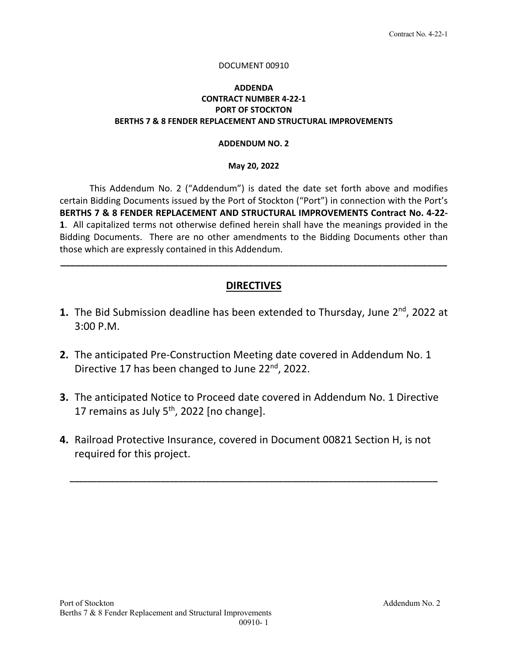#### DOCUMENT 00910

### **ADDENDA CONTRACT NUMBER 4‐22‐1 PORT OF STOCKTON BERTHS 7 & 8 FENDER REPLACEMENT AND STRUCTURAL IMPROVEMENTS**

#### **ADDENDUM NO. 2**

#### **May 20, 2022**

This Addendum No. 2 ("Addendum") is dated the date set forth above and modifies certain Bidding Documents issued by the Port of Stockton ("Port") in connection with the Port's **BERTHS 7 & 8 FENDER REPLACEMENT AND STRUCTURAL IMPROVEMENTS Contract No. 4‐22‐ 1**. All capitalized terms not otherwise defined herein shall have the meanings provided in the Bidding Documents. There are no other amendments to the Bidding Documents other than those which are expressly contained in this Addendum.

## **DIRECTIVES**

**\_\_\_\_\_\_\_\_\_\_\_\_\_\_\_\_\_\_\_\_\_\_\_\_\_\_\_\_\_\_\_\_\_\_\_\_\_\_\_\_\_\_\_\_\_\_\_\_\_\_\_\_\_\_\_\_\_\_\_\_\_\_\_\_\_\_\_\_\_\_\_\_\_\_\_\_\_\_** 

- **1.** The Bid Submission deadline has been extended to Thursday, June 2<sup>nd</sup>, 2022 at 3:00 P.M.
- **2.** The anticipated Pre‐Construction Meeting date covered in Addendum No. 1 Directive 17 has been changed to June 22<sup>nd</sup>, 2022.
- **3.** The anticipated Notice to Proceed date covered in Addendum No. 1 Directive 17 remains as July  $5<sup>th</sup>$ , 2022 [no change].
- **4.** Railroad Protective Insurance, covered in Document 00821 Section H, is not required for this project.

**\_\_\_\_\_\_\_\_\_\_\_\_\_\_\_\_\_\_\_\_\_\_\_\_\_\_\_\_\_\_\_\_\_\_\_\_\_\_\_\_\_\_\_\_\_\_\_\_\_\_\_\_\_\_\_\_\_\_\_\_\_\_\_\_\_\_\_\_\_\_\_\_\_\_\_\_\_\_\_\_\_**